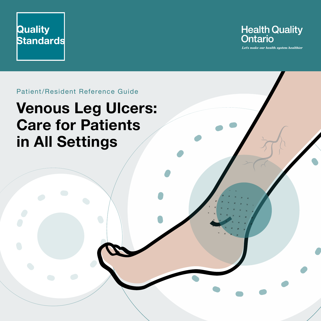



Let's make our health system healthier

Patient/Resident Reference Guide

# **Venous Leg Ulcers: Care for Patients in All Settings**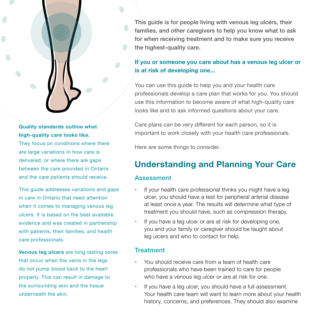### **Quality standards outline what high-quality care looks like.**

They focus on conditions where there are large variations in how care is delivered, or where there are gaps between the care provided in Ontario and the care patients should receive.

This guide addresses variations and gaps in care in Ontario that need attention when it comes to managing venous leg ulcers. It is based on the best available evidence and was created in partnership with patients, their families, and health care professionals.

**Venous leg ulcers** are long-lasting sores that occur when the veins in the legs do not pump blood back to the heart properly. This can result in damage to the surrounding skin and the tissue underneath the skin.

This guide is for people living with venous leg ulcers, their families, and other caregivers to help you know what to ask for when receiving treatment and to make sure you receive the highest-quality care.

## **If you or someone you care about has a venous leg ulcer or is at risk of developing one...**

You can use this guide to help you and your health care professionals develop a care plan that works for you. You should use this information to become aware of what high-quality care looks like and to ask informed questions about your care.

Care plans can be very different for each person, so it is important to work closely with your health care professionals.

Here are some things to consider.

# **Understanding and Planning Your Care**

#### Assessment

- If your health care professional thinks you might have a leg ulcer, you should have a test for peripheral arterial disease at least once a year. The results will determine what type of treatment you should have, such as compression therapy.
- If you have a leg ulcer or are at risk for developing one, you and your family or caregiver should be taught about leg ulcers and who to contact for help.

#### **Treatment**

- You should receive care from a team of health care professionals who have been trained to care for people who have a venous leg ulcer or are at risk for one.
- If you have a leg ulcer, you should have a full assessment. Your health care team will want to learn more about your health history, concerns, and preferences. They should also examine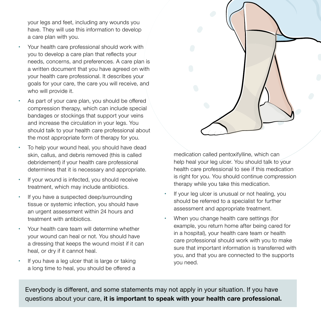your legs and feet, including any wounds you have. They will use this information to develop a care plan with you.

- Your health care professional should work with you to develop a care plan that reflects your needs, concerns, and preferences. A care plan is a written document that you have agreed on with your health care professional. It describes your goals for your care, the care you will receive, and who will provide it.
- **•**  As part of your care plan, you should be offered compression therapy, which can include special bandages or stockings that support your veins and increase the circulation in your legs. You should talk to your health care professional about the most appropriate form of therapy for you.
- To help your wound heal, you should have dead skin, callus, and debris removed (this is called debridement) if your health care professional determines that it is necessary and appropriate.
- If your wound is infected, you should receive treatment, which may include antibiotics.
- If you have a suspected deep/surrounding tissue or systemic infection, you should have an urgent assessment within 24 hours and treatment with antibiotics.
- **•**  Your health care team will determine whether your wound can heal or not. You should have a dressing that keeps the wound moist if it can heal, or dry if it cannot heal.
- If you have a leg ulcer that is large or taking a long time to heal, you should be offered a

medication called pentoxifylline, which can help heal your leg ulcer. You should talk to your health care professional to see if this medication is right for you. You should continue compression therapy while you take this medication.

- If your leg ulcer is unusual or not healing, you should be referred to a specialist for further assessment and appropriate treatment.
- **•**  When you change health care settings (for example, you return home after being cared for in a hospital), your health care team or health care professional should work with you to make sure that important information is transferred with you, and that you are connected to the supports you need.

Everybody is different, and some statements may not apply in your situation. If you have questions about your care, **it is important to speak with your health care professional.**